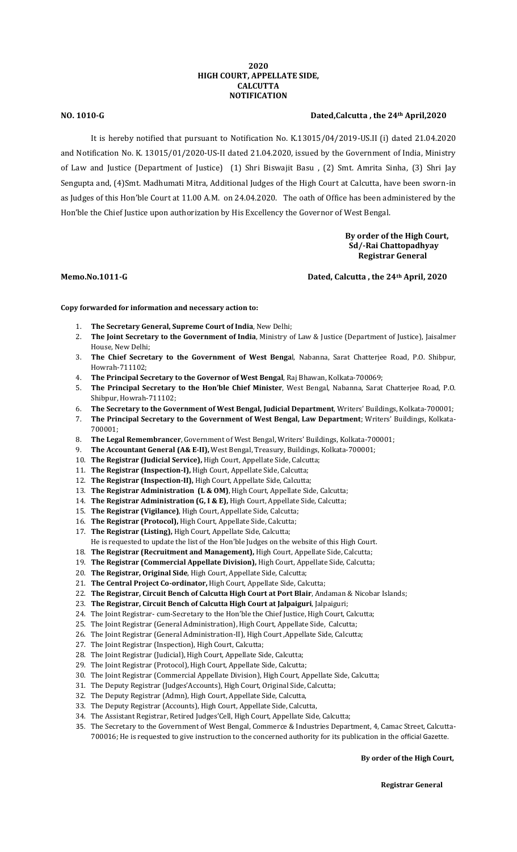## **2020 HIGH COURT, APPELLATE SIDE, CALCUTTA NOTIFICATION**

## **NO. 1010-G Dated,Calcutta , the 24th April,2020**

It is hereby notified that pursuant to Notification No. K.13015/04/2019-US.II (i) dated 21.04.2020 and Notification No. K. 13015/01/2020-US-II dated 21.04.2020, issued by the Government of India, Ministry of Law and Justice (Department of Justice) (1) Shri Biswajit Basu , (2) Smt. Amrita Sinha, (3) Shri Jay Sengupta and, (4)Smt. Madhumati Mitra, Additional Judges of the High Court at Calcutta, have been sworn-in as Judges of this Hon'ble Court at 11.00 A.M. on 24.04.2020. The oath of Office has been administered by the Hon'ble the Chief Justice upon authorization by His Excellency the Governor of West Bengal.

> **By order of the High Court, Sd/-Rai Chattopadhyay Registrar General**

### **Memo.No.1011-G Dated, Calcutta , the 24th April, 2020**

**Copy forwarded for information and necessary action to:**

- 1. **The Secretary General, Supreme Court of India**, New Delhi;
- 2. **The Joint Secretary to the Government of India**, Ministry of Law & Justice (Department of Justice), Jaisalmer House, New Delhi;
- 3. **The Chief Secretary to the Government of West Benga**l, Nabanna, Sarat Chatterjee Road, P.O. Shibpur, Howrah-711102;
- 4. **The Principal Secretary to the Governor of West Bengal**, Raj Bhawan, Kolkata-700069;
- 5. **The Principal Secretary to the Hon'ble Chief Minister**, West Bengal, Nabanna, Sarat Chatterjee Road, P.O. Shibpur, Howrah-711102;
- 6. **The Secretary to the Government of West Bengal, Judicial Department**, Writers' Buildings, Kolkata-700001;
- 7. **The Principal Secretary to the Government of West Bengal, Law Department**; Writers' Buildings, Kolkata-700001;
- 8. **The Legal Remembrancer**, Government of West Bengal, Writers' Buildings, Kolkata-700001;
- 9. **The Accountant General (A& E-II),** West Bengal, Treasury, Buildings, Kolkata-700001;
- 10. **The Registrar (Judicial Service),** High Court, Appellate Side, Calcutta;
- 11. **The Registrar (Inspection-I),** High Court, Appellate Side, Calcutta;
- 12. **The Registrar (Inspection-II),** High Court, Appellate Side, Calcutta;
- 13. **The Registrar Administration (L & OM)**, High Court, Appellate Side, Calcutta;
- 14. **The Registrar Administration (G, I & E),** High Court, Appellate Side, Calcutta;
- 15. **The Registrar (Vigilance)**, High Court, Appellate Side, Calcutta;
- 16. **The Registrar (Protocol),** High Court, Appellate Side, Calcutta;
- 17. **The Registrar (Listing),** High Court, Appellate Side, Calcutta;
- He is requested to update the list of the Hon'ble Judges on the website of this High Court.
- 18. **The Registrar (Recruitment and Management),** High Court, Appellate Side, Calcutta;
- 19. **The Registrar (Commercial Appellate Division),** High Court, Appellate Side, Calcutta;
- 20. **The Registrar, Original Side**, High Court, Appellate Side, Calcutta;
- 21. **The Central Project Co-ordinator,** High Court, Appellate Side, Calcutta;
- 22. **The Registrar, Circuit Bench of Calcutta High Court at Port Blair**, Andaman & Nicobar Islands;
- 23. **The Registrar, Circuit Bench of Calcutta High Court at Jalpaiguri**, Jalpaiguri;
- 24. The Joint Registrar- cum-Secretary to the Hon'ble the Chief Justice, High Court, Calcutta;
- 25. The Joint Registrar (General Administration), High Court, Appellate Side, Calcutta;
- 26. The Joint Registrar (General Administration-II), High Court ,Appellate Side, Calcutta;
- 27. The Joint Registrar (Inspection), High Court, Calcutta;
- 28. The Joint Registrar (Judicial), High Court, Appellate Side, Calcutta;
- 29. The Joint Registrar (Protocol), High Court, Appellate Side, Calcutta;
- 30. The Joint Registrar (Commercial Appellate Division), High Court, Appellate Side, Calcutta;
- 31. The Deputy Registrar (Judges'Accounts), High Court, Original Side, Calcutta;
- 32. The Deputy Registrar (Admn), High Court, Appellate Side, Calcutta,
- 33. The Deputy Registrar (Accounts), High Court, Appellate Side, Calcutta,
- 34. The Assistant Registrar, Retired Judges'Cell, High Court, Appellate Side, Calcutta;
- 35. The Secretary to the Government of West Bengal, Commerce & Industries Department, 4, Camac Street, Calcutta-700016; He is requested to give instruction to the concerned authority for its publication in the official Gazette.

## **By order of the High Court,**

 **Registrar General**